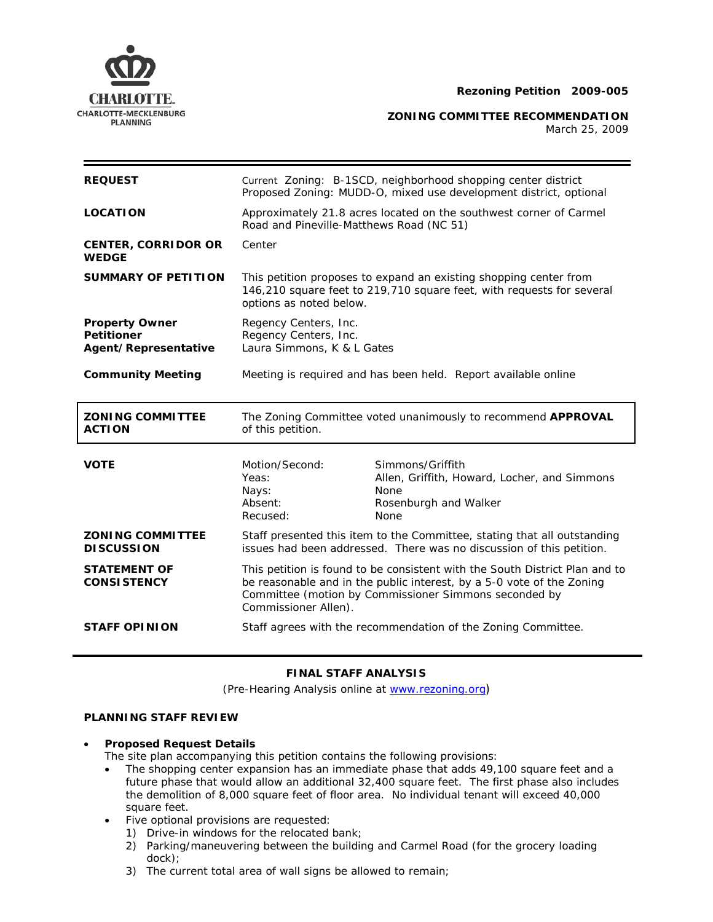

**CHARLOTTE-MECKLENBURG**<br>PLANNING PLANNING

March 25, 2009

| <b>REQUEST</b>                                                     | Current Zoning: B-1SCD, neighborhood shopping center district<br>Proposed Zoning: MUDD-O, mixed use development district, optional                                    |                                                                                                                                                                                                               |
|--------------------------------------------------------------------|-----------------------------------------------------------------------------------------------------------------------------------------------------------------------|---------------------------------------------------------------------------------------------------------------------------------------------------------------------------------------------------------------|
| <b>LOCATION</b>                                                    | Approximately 21.8 acres located on the southwest corner of Carmel<br>Road and Pineville-Matthews Road (NC 51)                                                        |                                                                                                                                                                                                               |
| <b>CENTER, CORRIDOR OR</b><br><b>WEDGE</b>                         | Center                                                                                                                                                                |                                                                                                                                                                                                               |
| <b>SUMMARY OF PETITION</b>                                         | This petition proposes to expand an existing shopping center from<br>146,210 square feet to 219,710 square feet, with requests for several<br>options as noted below. |                                                                                                                                                                                                               |
| <b>Property Owner</b><br><b>Petitioner</b><br>Agent/Representative | Regency Centers, Inc.<br>Regency Centers, Inc.<br>Laura Simmons, K & L Gates                                                                                          |                                                                                                                                                                                                               |
| <b>Community Meeting</b>                                           | Meeting is required and has been held. Report available online                                                                                                        |                                                                                                                                                                                                               |
|                                                                    | The Zoning Committee voted unanimously to recommend <b>APPROVAL</b><br>of this petition.                                                                              |                                                                                                                                                                                                               |
| <b>ZONING COMMITTEE</b><br><b>ACTION</b>                           |                                                                                                                                                                       |                                                                                                                                                                                                               |
| <b>VOTE</b>                                                        | Motion/Second:<br>Yeas:<br>Nays:<br>Absent:<br>Recused:                                                                                                               | Simmons/Griffith<br>Allen, Griffith, Howard, Locher, and Simmons<br><b>None</b><br>Rosenburgh and Walker<br><b>None</b>                                                                                       |
| <b>ZONING COMMITTEE</b><br><b>DISCUSSION</b>                       |                                                                                                                                                                       | Staff presented this item to the Committee, stating that all outstanding<br>issues had been addressed. There was no discussion of this petition.                                                              |
| <b>STATEMENT OF</b><br><b>CONSISTENCY</b>                          | Commissioner Allen).                                                                                                                                                  | This petition is found to be consistent with the South District Plan and to<br>be reasonable and in the public interest, by a 5-0 vote of the Zoning<br>Committee (motion by Commissioner Simmons seconded by |

# **FINAL STAFF ANALYSIS**

(Pre-Hearing Analysis online at www.rezoning.org)

# **PLANNING STAFF REVIEW**

# • **Proposed Request Details**

The site plan accompanying this petition contains the following provisions:

- The shopping center expansion has an immediate phase that adds 49,100 square feet and a future phase that would allow an additional 32,400 square feet. The first phase also includes the demolition of 8,000 square feet of floor area. No individual tenant will exceed 40,000 square feet.
- Five optional provisions are requested:
	- 1) Drive-in windows for the relocated bank;
	- 2) Parking/maneuvering between the building and Carmel Road (for the grocery loading dock);
	- 3) The current total area of wall signs be allowed to remain;